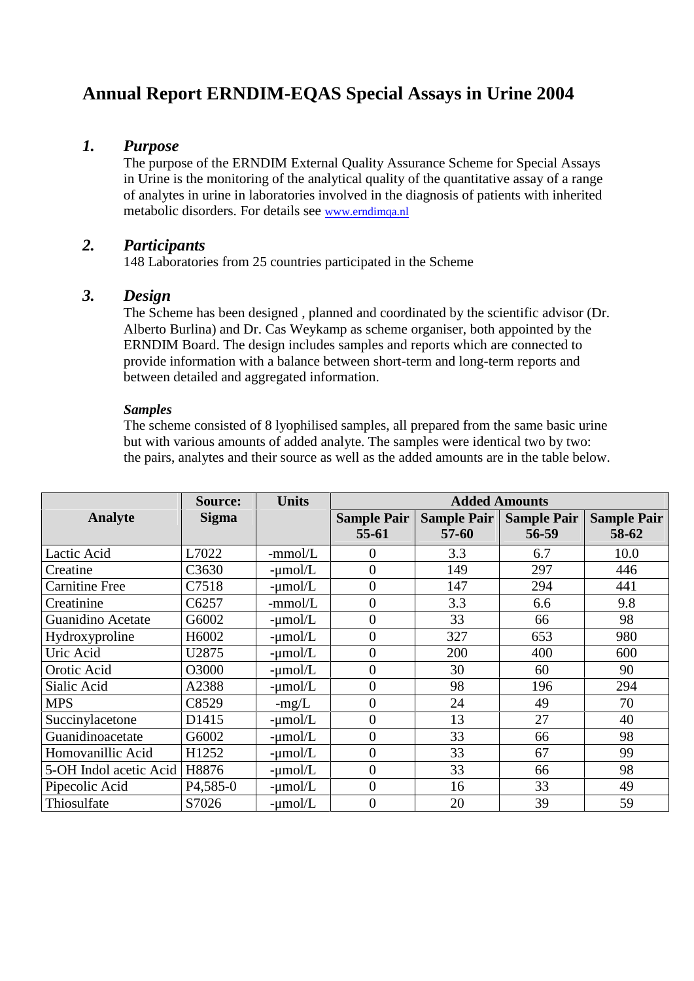# **Annual Report ERNDIM-EQAS Special Assays in Urine 2004**

### *1. Purpose*

The purpose of the ERNDIM External Quality Assurance Scheme for Special Assays in Urine is the monitoring of the analytical quality of the quantitative assay of a range of analytes in urine in laboratories involved in the diagnosis of patients with inherited metabolic disorders. For details see www.erndimqa.nl

# *2. Participants*

148 Laboratories from 25 countries participated in the Scheme

## *3. Design*

The Scheme has been designed , planned and coordinated by the scientific advisor (Dr. Alberto Burlina) and Dr. Cas Weykamp as scheme organiser, both appointed by the ERNDIM Board. The design includes samples and reports which are connected to provide information with a balance between short-term and long-term reports and between detailed and aggregated information.

### *Samples*

The scheme consisted of 8 lyophilised samples, all prepared from the same basic urine but with various amounts of added analyte. The samples were identical two by two: the pairs, analytes and their source as well as the added amounts are in the table below.

|                        | <b>Source:</b>         | <b>Units</b> | <b>Added Amounts</b>          |                                 |                             |                             |
|------------------------|------------------------|--------------|-------------------------------|---------------------------------|-----------------------------|-----------------------------|
| <b>Analyte</b>         | <b>Sigma</b>           |              | <b>Sample Pair</b><br>$55-61$ | <b>Sample Pair</b><br>$57 - 60$ | <b>Sample Pair</b><br>56-59 | <b>Sample Pair</b><br>58-62 |
| Lactic Acid            | L7022                  | $-mmol/L$    | 0                             | 3.3                             | 6.7                         | 10.0                        |
| Creatine               | C3630                  | $-\mu$ mol/L | $\overline{0}$                | 149                             | 297                         | 446                         |
| <b>Carnitine Free</b>  | C7518                  | $-\mu$ mol/L | $\overline{0}$                | 147                             | 294                         | 441                         |
| Creatinine             | C6257                  | -mmol/L      | $\overline{0}$                | 3.3                             | 6.6                         | 9.8                         |
| Guanidino Acetate      | G6002                  | $-\mu$ mol/L | $\overline{0}$                | 33                              | 66                          | 98                          |
| Hydroxyproline         | H6002                  | $-\mu$ mol/L | $\overline{0}$                | 327                             | 653                         | 980                         |
| Uric Acid              | U2875                  | $-\mu$ mol/L | $\overline{0}$                | 200                             | 400                         | 600                         |
| Orotic Acid            | O3000                  | $-\mu$ mol/L | 0                             | 30                              | 60                          | 90                          |
| Sialic Acid            | A2388                  | $-\mu$ mol/L | $\overline{0}$                | 98                              | 196                         | 294                         |
| <b>MPS</b>             | C8529                  | $-mg/L$      | 0                             | 24                              | 49                          | 70                          |
| Succinylacetone        | D1415                  | $-\mu$ mol/L | 0                             | 13                              | 27                          | 40                          |
| Guanidinoacetate       | G6002                  | $-\mu$ mol/L | $\overline{0}$                | 33                              | 66                          | 98                          |
| Homovanillic Acid      | H1252                  | $-\mu$ mol/L | $\overline{0}$                | 33                              | 67                          | 99                          |
| 5-OH Indol acetic Acid | H8876                  | $-\mu$ mol/L | $\overline{0}$                | 33                              | 66                          | 98                          |
| Pipecolic Acid         | P <sub>4</sub> , 585-0 | $-\mu$ mol/L | $\overline{0}$                | 16                              | 33                          | 49                          |
| Thiosulfate            | S7026                  | $-\mu$ mol/L | $\overline{0}$                | 20                              | 39                          | 59                          |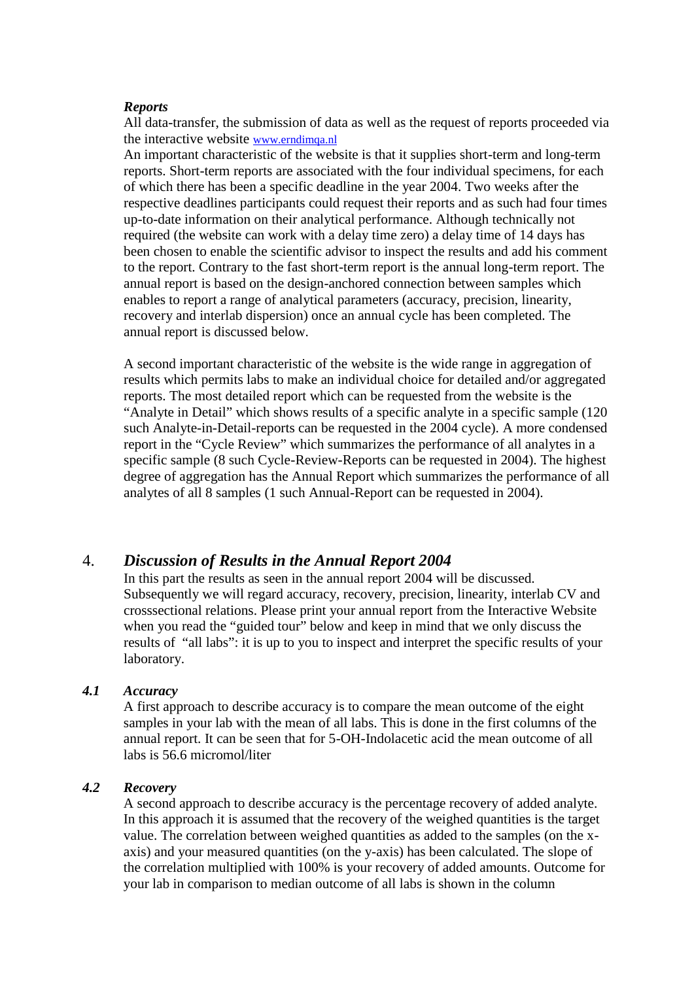#### *Reports*

All data-transfer, the submission of data as well as the request of reports proceeded via the interactive website www.erndimqa.nl

An important characteristic of the website is that it supplies short-term and long-term reports. Short-term reports are associated with the four individual specimens, for each of which there has been a specific deadline in the year 2004. Two weeks after the respective deadlines participants could request their reports and as such had four times up-to-date information on their analytical performance. Although technically not required (the website can work with a delay time zero) a delay time of 14 days has been chosen to enable the scientific advisor to inspect the results and add his comment to the report. Contrary to the fast short-term report is the annual long-term report. The annual report is based on the design-anchored connection between samples which enables to report a range of analytical parameters (accuracy, precision, linearity, recovery and interlab dispersion) once an annual cycle has been completed. The annual report is discussed below.

A second important characteristic of the website is the wide range in aggregation of results which permits labs to make an individual choice for detailed and/or aggregated reports. The most detailed report which can be requested from the website is the "Analyte in Detail" which shows results of a specific analyte in a specific sample (120 such Analyte-in-Detail-reports can be requested in the 2004 cycle). A more condensed report in the "Cycle Review" which summarizes the performance of all analytes in a specific sample (8 such Cycle-Review-Reports can be requested in 2004). The highest degree of aggregation has the Annual Report which summarizes the performance of all analytes of all 8 samples (1 such Annual-Report can be requested in 2004).

### 4. *Discussion of Results in the Annual Report 2004*

In this part the results as seen in the annual report 2004 will be discussed. Subsequently we will regard accuracy, recovery, precision, linearity, interlab CV and crosssectional relations. Please print your annual report from the Interactive Website when you read the "guided tour" below and keep in mind that we only discuss the results of "all labs": it is up to you to inspect and interpret the specific results of your laboratory.

#### *4.1 Accuracy*

A first approach to describe accuracy is to compare the mean outcome of the eight samples in your lab with the mean of all labs. This is done in the first columns of the annual report. It can be seen that for 5-OH-Indolacetic acid the mean outcome of all labs is 56.6 micromol/liter

#### *4.2 Recovery*

A second approach to describe accuracy is the percentage recovery of added analyte. In this approach it is assumed that the recovery of the weighed quantities is the target value. The correlation between weighed quantities as added to the samples (on the x axis) and your measured quantities (on the y-axis) has been calculated. The slope of the correlation multiplied with 100% is your recovery of added amounts. Outcome for your lab in comparison to median outcome of all labs is shown in the column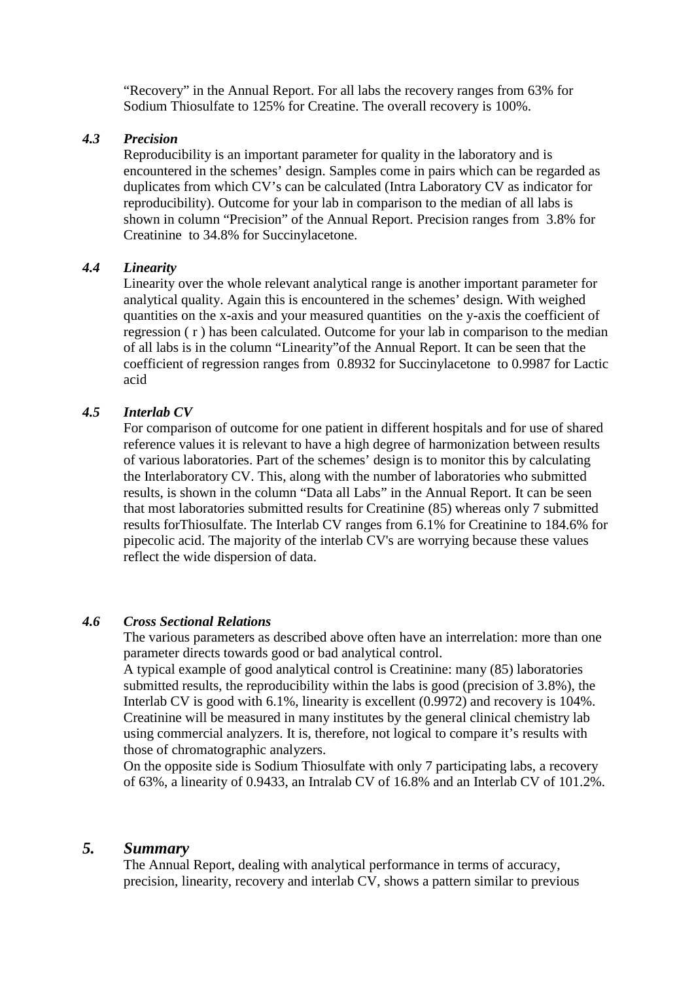"Recovery" in the Annual Report. For all labs the recovery ranges from 63% for Sodium Thiosulfate to 125% for Creatine. The overall recovery is 100%.

#### *4.3 Precision*

Reproducibility is an important parameter for quality in the laboratory and is encountered in the schemes' design. Samples come in pairs which can be regarded as duplicates from which CV's can be calculated (Intra Laboratory CV as indicator for reproducibility). Outcome for your lab in comparison to the median of all labs is shown in column "Precision" of the Annual Report. Precision ranges from 3.8% for Creatinine to 34.8% for Succinylacetone.

### *4.4 Linearity*

Linearity over the whole relevant analytical range is another important parameter for analytical quality. Again this is encountered in the schemes' design. With weighed quantities on the x-axis and your measured quantities on the y-axis the coefficient of regression ( r ) has been calculated. Outcome for your lab in comparison to the median of all labs is in the column "Linearity"of the Annual Report. It can be seen that the coefficient of regression ranges from 0.8932 for Succinylacetone to 0.9987 for Lactic acid

### *4.5 Interlab CV*

For comparison of outcome for one patient in different hospitals and for use of shared reference values it is relevant to have a high degree of harmonization between results of various laboratories. Part of the schemes' design is to monitor this by calculating the Interlaboratory CV. This, along with the number of laboratories who submitted results, is shown in the column "Data all Labs" in the Annual Report. It can be seen that most laboratories submitted results for Creatinine (85) whereas only 7 submitted results forThiosulfate. The Interlab CV ranges from 6.1% for Creatinine to 184.6% for pipecolic acid. The majority of the interlab CV's are worrying because these values reflect the wide dispersion of data.

#### *4.6 Cross Sectional Relations*

The various parameters as described above often have an interrelation: more than one parameter directs towards good or bad analytical control.

A typical example of good analytical control is Creatinine: many (85) laboratories submitted results, the reproducibility within the labs is good (precision of 3.8%), the Interlab CV is good with 6.1%, linearity is excellent (0.9972) and recovery is 104%. Creatinine will be measured in many institutes by the general clinical chemistry lab using commercial analyzers. It is, therefore, not logical to compare it's results with those of chromatographic analyzers.

On the opposite side is Sodium Thiosulfate with only 7 participating labs, a recovery of 63%, a linearity of 0.9433, an Intralab CV of 16.8% and an Interlab CV of 101.2%.

### *5. Summary*

The Annual Report, dealing with analytical performance in terms of accuracy, precision, linearity, recovery and interlab CV, shows a pattern similar to previous